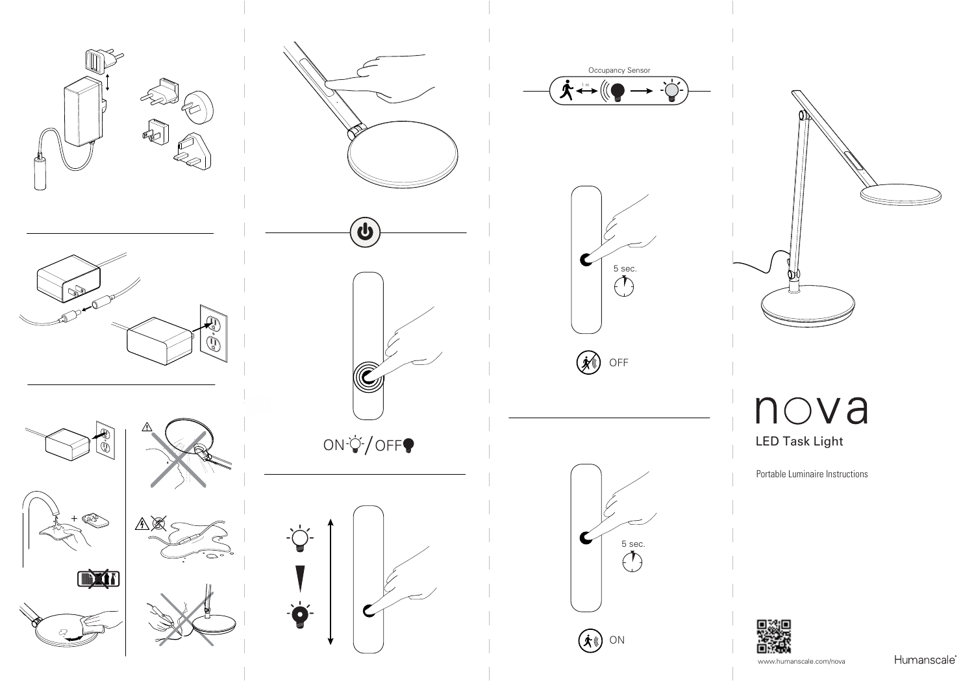